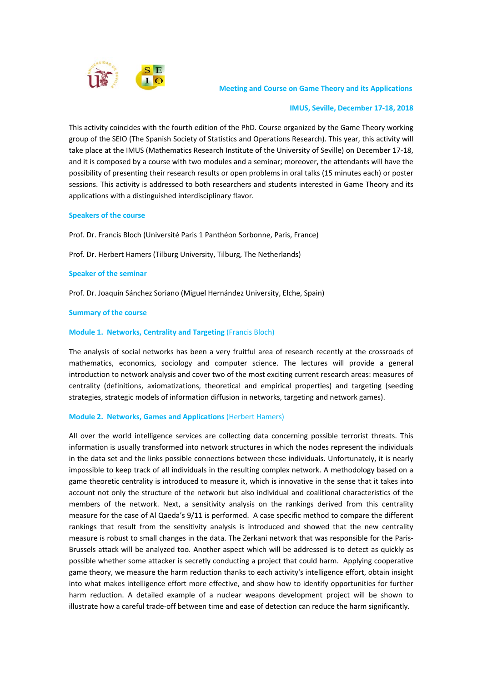

 **Meeting and Course on Game Theory and its Applications**

### **IMUS, Seville, December 17‐18, 2018**

This activity coincides with the fourth edition of the PhD. Course organized by the Game Theory working group of the SEIO (The Spanish Society of Statistics and Operations Research). This year, this activity will take place at the IMUS (Mathematics Research Institute of the University of Seville) on December 17‐18, and it is composed by a course with two modules and a seminar; moreover, the attendants will have the possibility of presenting their research results or open problems in oral talks (15 minutes each) or poster sessions. This activity is addressed to both researchers and students interested in Game Theory and its applications with a distinguished interdisciplinary flavor.

### **Speakers of the course**

Prof. Dr. Francis Bloch (Université Paris 1 Panthéon Sorbonne, Paris, France)

Prof. Dr. Herbert Hamers (Tilburg University, Tilburg, The Netherlands)

### **Speaker of the seminar**

Prof. Dr. Joaquín Sánchez Soriano (Miguel Hernández University, Elche, Spain)

### **Summary of the course**

### **Module 1. Networks, Centrality and Targeting** (Francis Bloch)

The analysis of social networks has been a very fruitful area of research recently at the crossroads of mathematics, economics, sociology and computer science. The lectures will provide a general introduction to network analysis and cover two of the most exciting current research areas: measures of centrality (definitions, axiomatizations, theoretical and empirical properties) and targeting (seeding strategies, strategic models of information diffusion in networks, targeting and network games).

### **Module 2. Networks, Games and Applications** (Herbert Hamers)

All over the world intelligence services are collecting data concerning possible terrorist threats. This information is usually transformed into network structures in which the nodes represent the individuals in the data set and the links possible connections between these individuals. Unfortunately, it is nearly impossible to keep track of all individuals in the resulting complex network. A methodology based on a game theoretic centrality is introduced to measure it, which is innovative in the sense that it takes into account not only the structure of the network but also individual and coalitional characteristics of the members of the network. Next, a sensitivity analysis on the rankings derived from this centrality measure for the case of Al Qaeda's 9/11 is performed. A case specific method to compare the different rankings that result from the sensitivity analysis is introduced and showed that the new centrality measure is robust to small changes in the data. The Zerkani network that was responsible for the Paris‐ Brussels attack will be analyzed too. Another aspect which will be addressed is to detect as quickly as possible whether some attacker is secretly conducting a project that could harm. Applying cooperative game theory, we measure the harm reduction thanks to each activity's intelligence effort, obtain insight into what makes intelligence effort more effective, and show how to identify opportunities for further harm reduction. A detailed example of a nuclear weapons development project will be shown to illustrate how a careful trade‐off between time and ease of detection can reduce the harm significantly.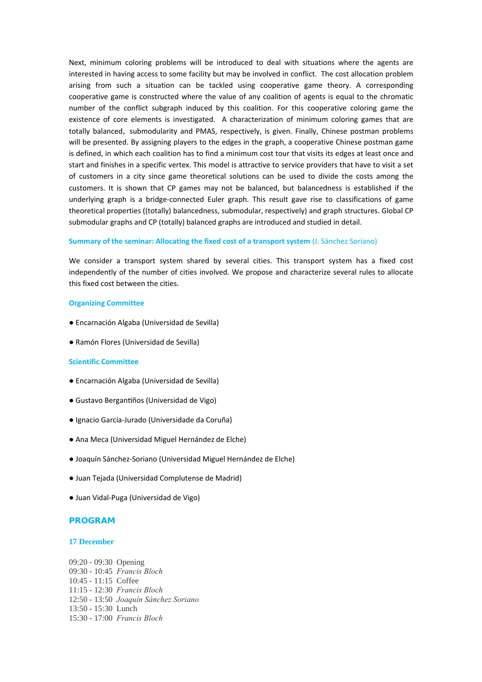Next, minimum coloring problems will be introduced to deal with situations where the agents are interested in having access to some facility but may be involved in conflict. The cost allocation problem arising from such a situation can be tackled using cooperative game theory. A corresponding cooperative game is constructed where the value of any coalition of agents is equal to the chromatic number of the conflict subgraph induced by this coalition. For this cooperative coloring game the existence of core elements is investigated. A characterization of minimum coloring games that are totally balanced, submodularity and PMAS, respectively, is given. Finally, Chinese postman problems will be presented. By assigning players to the edges in the graph, a cooperative Chinese postman game is defined, in which each coalition has to find a minimum cost tour that visits its edges at least once and start and finishes in a specific vertex. This model is attractive to service providers that have to visit a set of customers in a city since game theoretical solutions can be used to divide the costs among the customers. It is shown that CP games may not be balanced, but balancedness is established if the underlying graph is a bridge‐connected Euler graph. This result gave rise to classifications of game theoretical properties ((totally) balancedness, submodular, respectively) and graph structures. Global CP submodular graphs and CP (totally) balanced graphs are introduced and studied in detail.

### **Summary of the seminar: Allocating the fixed cost of a transport system** (J. Sánchez Soriano)

We consider a transport system shared by several cities. This transport system has a fixed cost independently of the number of cities involved. We propose and characterize several rules to allocate this fixed cost between the cities.

### **Organizing Committee**

- Encarnación Algaba (Universidad de Sevilla)
- Ramón Flores (Universidad de Sevilla)

### **Scientific Committee**

- Encarnación Algaba (Universidad de Sevilla)
- Gustavo BerganƟños (Universidad de Vigo)
- Ignacio García‐Jurado (Universidade da Coruña)
- Ana Meca (Universidad Miguel Hernández de Elche)
- Joaquín Sánchez-Soriano (Universidad Miguel Hernández de Elche)
- Juan Tejada (Universidad Complutense de Madrid)
- Juan Vidal‐Puga (Universidad de Vigo)

# **PROGRAM**

### **17 December**

09:20 - 09:30 Opening 09:30 - 10:45 *Francis Bloch*  10:45 - 11:15 Coffee 11:15 - 12:30 *Francis Bloch* 12:50 - 13:50 *Joaquín Sánchez Soriano* 13:50 - 15:30 Lunch 15:30 - 17:00 *Francis Bloch*